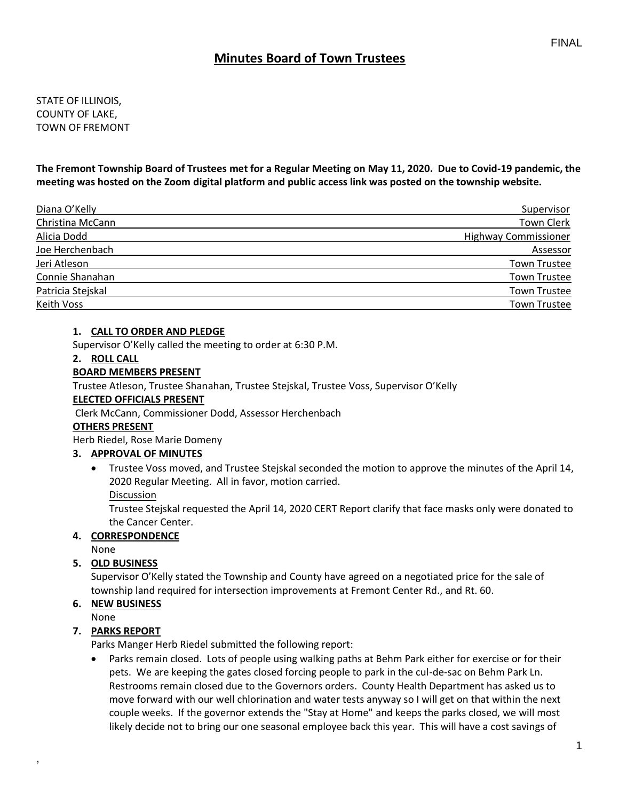# **Minutes Board of Town Trustees**

STATE OF ILLINOIS, COUNTY OF LAKE, TOWN OF FREMONT

**The Fremont Township Board of Trustees met for a Regular Meeting on May 11, 2020. Due to Covid-19 pandemic, the meeting was hosted on the Zoom digital platform and public access link was posted on the township website.**

| Diana O'Kelly     | Supervisor                  |
|-------------------|-----------------------------|
| Christina McCann  | Town Clerk                  |
| Alicia Dodd       | <b>Highway Commissioner</b> |
| Joe Herchenbach   | Assessor                    |
| Jeri Atleson      | <b>Town Trustee</b>         |
| Connie Shanahan   | Town Trustee                |
| Patricia Stejskal | <b>Town Trustee</b>         |
| Keith Voss        | <b>Town Trustee</b>         |

#### **1. CALL TO ORDER AND PLEDGE**

Supervisor O'Kelly called the meeting to order at 6:30 P.M.

#### **2. ROLL CALL**

#### **BOARD MEMBERS PRESENT**

Trustee Atleson, Trustee Shanahan, Trustee Stejskal, Trustee Voss, Supervisor O'Kelly

### **ELECTED OFFICIALS PRESENT**

Clerk McCann, Commissioner Dodd, Assessor Herchenbach

#### **OTHERS PRESENT**

Herb Riedel, Rose Marie Domeny

#### **3. APPROVAL OF MINUTES**

• Trustee Voss moved, and Trustee Stejskal seconded the motion to approve the minutes of the April 14, 2020 Regular Meeting. All in favor, motion carried.

Discussion

Trustee Stejskal requested the April 14, 2020 CERT Report clarify that face masks only were donated to the Cancer Center.

#### **4. CORRESPONDENCE**

None

#### **5. OLD BUSINESS**

Supervisor O'Kelly stated the Township and County have agreed on a negotiated price for the sale of township land required for intersection improvements at Fremont Center Rd., and Rt. 60.

### **6. NEW BUSINESS**

None

,

#### **7. PARKS REPORT**

Parks Manger Herb Riedel submitted the following report:

• Parks remain closed. Lots of people using walking paths at Behm Park either for exercise or for their pets. We are keeping the gates closed forcing people to park in the cul-de-sac on Behm Park Ln. Restrooms remain closed due to the Governors orders. County Health Department has asked us to move forward with our well chlorination and water tests anyway so I will get on that within the next couple weeks. If the governor extends the "Stay at Home" and keeps the parks closed, we will most likely decide not to bring our one seasonal employee back this year. This will have a cost savings of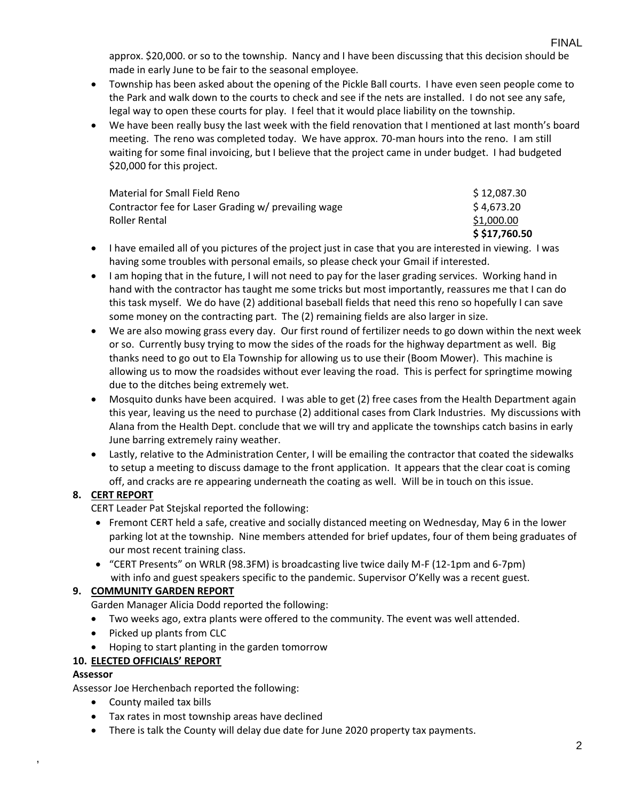approx. \$20,000. or so to the township. Nancy and I have been discussing that this decision should be made in early June to be fair to the seasonal employee.

- Township has been asked about the opening of the Pickle Ball courts. I have even seen people come to the Park and walk down to the courts to check and see if the nets are installed. I do not see any safe, legal way to open these courts for play. I feel that it would place liability on the township.
- We have been really busy the last week with the field renovation that I mentioned at last month's board meeting. The reno was completed today. We have approx. 70-man hours into the reno. I am still waiting for some final invoicing, but I believe that the project came in under budget. I had budgeted \$20,000 for this project.

| Material for Small Field Reno                       | \$12,087.30    |
|-----------------------------------------------------|----------------|
| Contractor fee for Laser Grading w/ prevailing wage | \$4.673.20     |
| Roller Rental                                       | \$1,000.00     |
|                                                     | \$ \$17,760.50 |

- I have emailed all of you pictures of the project just in case that you are interested in viewing. I was having some troubles with personal emails, so please check your Gmail if interested.
- I am hoping that in the future, I will not need to pay for the laser grading services. Working hand in hand with the contractor has taught me some tricks but most importantly, reassures me that I can do this task myself. We do have (2) additional baseball fields that need this reno so hopefully I can save some money on the contracting part. The (2) remaining fields are also larger in size.
- We are also mowing grass every day. Our first round of fertilizer needs to go down within the next week or so. Currently busy trying to mow the sides of the roads for the highway department as well. Big thanks need to go out to Ela Township for allowing us to use their (Boom Mower). This machine is allowing us to mow the roadsides without ever leaving the road. This is perfect for springtime mowing due to the ditches being extremely wet.
- Mosquito dunks have been acquired. I was able to get (2) free cases from the Health Department again this year, leaving us the need to purchase (2) additional cases from Clark Industries. My discussions with Alana from the Health Dept. conclude that we will try and applicate the townships catch basins in early June barring extremely rainy weather.
- Lastly, relative to the Administration Center, I will be emailing the contractor that coated the sidewalks to setup a meeting to discuss damage to the front application. It appears that the clear coat is coming off, and cracks are re appearing underneath the coating as well. Will be in touch on this issue.

# **8. CERT REPORT**

CERT Leader Pat Stejskal reported the following:

- Fremont CERT held a safe, creative and socially distanced meeting on Wednesday, May 6 in the lower parking lot at the township. Nine members attended for brief updates, four of them being graduates of our most recent training class.
- "CERT Presents" on WRLR (98.3FM) is broadcasting live twice daily M-F (12-1pm and 6-7pm) with info and guest speakers specific to the pandemic. Supervisor O'Kelly was a recent guest.

### **9. COMMUNITY GARDEN REPORT**

Garden Manager Alicia Dodd reported the following:

- Two weeks ago, extra plants were offered to the community. The event was well attended.
- Picked up plants from CLC
- Hoping to start planting in the garden tomorrow

# **10. ELECTED OFFICIALS' REPORT**

### **Assessor**

,

Assessor Joe Herchenbach reported the following:

- County mailed tax bills
- Tax rates in most township areas have declined
- There is talk the County will delay due date for June 2020 property tax payments.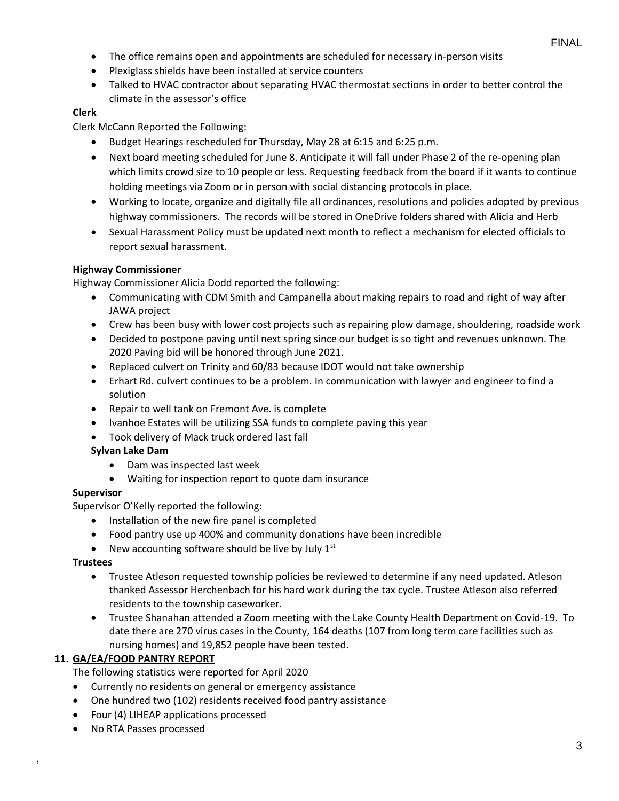- The office remains open and appointments are scheduled for necessary in-person visits
- Plexiglass shields have been installed at service counters
- Talked to HVAC contractor about separating HVAC thermostat sections in order to better control the climate in the assessor's office

### **Clerk**

Clerk McCann Reported the Following:

- Budget Hearings rescheduled for Thursday, May 28 at 6:15 and 6:25 p.m.
- Next board meeting scheduled for June 8. Anticipate it will fall under Phase 2 of the re-opening plan which limits crowd size to 10 people or less. Requesting feedback from the board if it wants to continue holding meetings via Zoom or in person with social distancing protocols in place.
- Working to locate, organize and digitally file all ordinances, resolutions and policies adopted by previous highway commissioners. The records will be stored in OneDrive folders shared with Alicia and Herb
- Sexual Harassment Policy must be updated next month to reflect a mechanism for elected officials to report sexual harassment.

### **Highway Commissioner**

Highway Commissioner Alicia Dodd reported the following:

- Communicating with CDM Smith and Campanella about making repairs to road and right of way after JAWA project
- Crew has been busy with lower cost projects such as repairing plow damage, shouldering, roadside work
- Decided to postpone paving until next spring since our budget is so tight and revenues unknown. The 2020 Paving bid will be honored through June 2021.
- Replaced culvert on Trinity and 60/83 because IDOT would not take ownership
- Erhart Rd. culvert continues to be a problem. In communication with lawyer and engineer to find a solution
- Repair to well tank on Fremont Ave. is complete
- Ivanhoe Estates will be utilizing SSA funds to complete paving this year
- Took delivery of Mack truck ordered last fall

### **Sylvan Lake Dam**

- Dam was inspected last week
- Waiting for inspection report to quote dam insurance

#### **Supervisor**

Supervisor O'Kelly reported the following:

- Installation of the new fire panel is completed
- Food pantry use up 400% and community donations have been incredible
- New accounting software should be live by July  $1<sup>st</sup>$

#### **Trustees**

,

- Trustee Atleson requested township policies be reviewed to determine if any need updated. Atleson thanked Assessor Herchenbach for his hard work during the tax cycle. Trustee Atleson also referred residents to the township caseworker.
- Trustee Shanahan attended a Zoom meeting with the Lake County Health Department on Covid-19. To date there are 270 virus cases in the County, 164 deaths (107 from long term care facilities such as nursing homes) and 19,852 people have been tested.

### **11. GA/EA/FOOD PANTRY REPORT**

The following statistics were reported for April 2020

- Currently no residents on general or emergency assistance
- One hundred two (102) residents received food pantry assistance
- Four (4) LIHEAP applications processed
- No RTA Passes processed